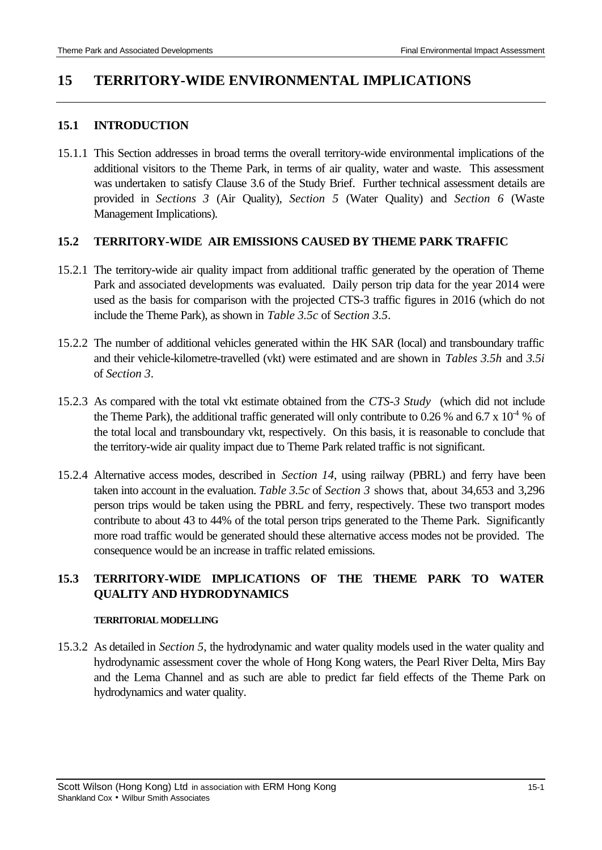# **15 TERRITORY-WIDE ENVIRONMENTAL IMPLICATIONS**

### **15.1 INTRODUCTION**

15.1.1 This Section addresses in broad terms the overall territory-wide environmental implications of the additional visitors to the Theme Park, in terms of air quality, water and waste. This assessment was undertaken to satisfy Clause 3.6 of the Study Brief. Further technical assessment details are provided in *Sections 3* (Air Quality), *Section 5* (Water Quality) and *Section 6* (Waste Management Implications).

## **15.2 TERRITORY-WIDE AIR EMISSIONS CAUSED BY THEME PARK TRAFFIC**

- 15.2.1 The territory-wide air quality impact from additional traffic generated by the operation of Theme Park and associated developments was evaluated. Daily person trip data for the year 2014 were used as the basis for comparison with the projected CTS-3 traffic figures in 2016 (which do not include the Theme Park), as shown in *Table 3.5c* of S*ection 3.5*.
- 15.2.2 The number of additional vehicles generated within the HK SAR (local) and transboundary traffic and their vehicle-kilometre-travelled (vkt) were estimated and are shown in *Tables 3.5h* and *3.5i* of *Section 3*.
- 15.2.3 As compared with the total vkt estimate obtained from the *CTS-3 Study* (which did not include the Theme Park), the additional traffic generated will only contribute to 0.26 % and 6.7 x  $10^{-4}$  % of the total local and transboundary vkt, respectively. On this basis, it is reasonable to conclude that the territory-wide air quality impact due to Theme Park related traffic is not significant.
- 15.2.4 Alternative access modes, described in *Section 14*, using railway (PBRL) and ferry have been taken into account in the evaluation. *Table 3.5c* of *Section 3* shows that, about 34,653 and 3,296 person trips would be taken using the PBRL and ferry, respectively. These two transport modes contribute to about 43 to 44% of the total person trips generated to the Theme Park. Significantly more road traffic would be generated should these alternative access modes not be provided. The consequence would be an increase in traffic related emissions.

## **15.3 TERRITORY-WIDE IMPLICATIONS OF THE THEME PARK TO WATER QUALITY AND HYDRODYNAMICS**

#### **TERRITORIAL MODELLING**

15.3.2 As detailed in *Section 5*, the hydrodynamic and water quality models used in the water quality and hydrodynamic assessment cover the whole of Hong Kong waters, the Pearl River Delta, Mirs Bay and the Lema Channel and as such are able to predict far field effects of the Theme Park on hydrodynamics and water quality.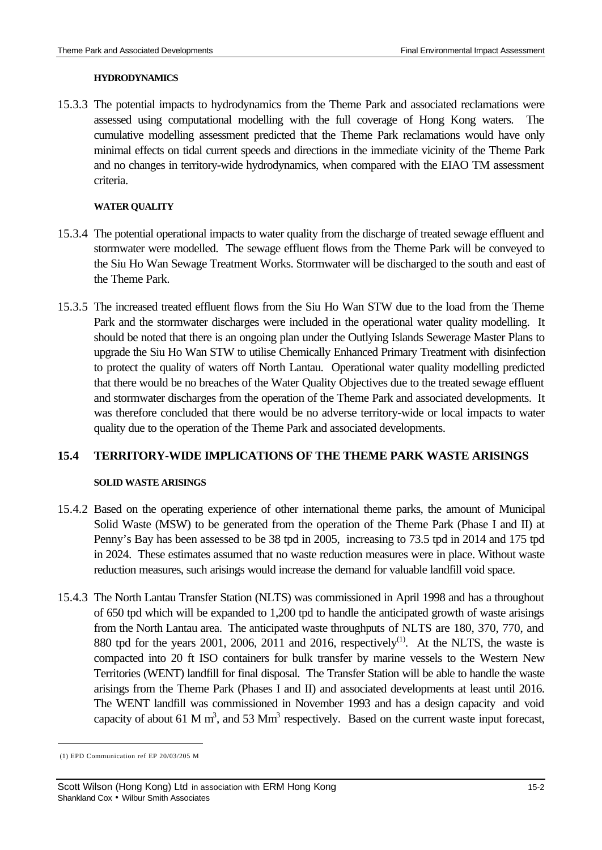#### **HYDRODYNAMICS**

15.3.3 The potential impacts to hydrodynamics from the Theme Park and associated reclamations were assessed using computational modelling with the full coverage of Hong Kong waters. The cumulative modelling assessment predicted that the Theme Park reclamations would have only minimal effects on tidal current speeds and directions in the immediate vicinity of the Theme Park and no changes in territory-wide hydrodynamics, when compared with the EIAO TM assessment criteria.

#### **WATER QUALITY**

- 15.3.4 The potential operational impacts to water quality from the discharge of treated sewage effluent and stormwater were modelled. The sewage effluent flows from the Theme Park will be conveyed to the Siu Ho Wan Sewage Treatment Works. Stormwater will be discharged to the south and east of the Theme Park.
- 15.3.5 The increased treated effluent flows from the Siu Ho Wan STW due to the load from the Theme Park and the stormwater discharges were included in the operational water quality modelling. It should be noted that there is an ongoing plan under the Outlying Islands Sewerage Master Plans to upgrade the Siu Ho Wan STW to utilise Chemically Enhanced Primary Treatment with disinfection to protect the quality of waters off North Lantau. Operational water quality modelling predicted that there would be no breaches of the Water Quality Objectives due to the treated sewage effluent and stormwater discharges from the operation of the Theme Park and associated developments. It was therefore concluded that there would be no adverse territory-wide or local impacts to water quality due to the operation of the Theme Park and associated developments.

## **15.4 TERRITORY-WIDE IMPLICATIONS OF THE THEME PARK WASTE ARISINGS**

#### **SOLID WASTE ARISINGS**

- 15.4.2 Based on the operating experience of other international theme parks, the amount of Municipal Solid Waste (MSW) to be generated from the operation of the Theme Park (Phase I and II) at Penny's Bay has been assessed to be 38 tpd in 2005, increasing to 73.5 tpd in 2014 and 175 tpd in 2024. These estimates assumed that no waste reduction measures were in place. Without waste reduction measures, such arisings would increase the demand for valuable landfill void space.
- 15.4.3 The North Lantau Transfer Station (NLTS) was commissioned in April 1998 and has a throughout of 650 tpd which will be expanded to 1,200 tpd to handle the anticipated growth of waste arisings from the North Lantau area. The anticipated waste throughputs of NLTS are 180, 370, 770, and 880 tpd for the years 2001, 2006, 2011 and 2016, respectively<sup>(1)</sup>. At the NLTS, the waste is compacted into 20 ft ISO containers for bulk transfer by marine vessels to the Western New Territories (WENT) landfill for final disposal. The Transfer Station will be able to handle the waste arisings from the Theme Park (Phases I and II) and associated developments at least until 2016. The WENT landfill was commissioned in November 1993 and has a design capacity and void capacity of about 61 M m<sup>3</sup>, and 53 Mm<sup>3</sup> respectively. Based on the current waste input forecast,

 $\overline{a}$ 

 <sup>(1)</sup> EPD Communication ref EP 20/03/205 M

Scott Wilson (Hong Kong) Ltd in association with ERM Hong Kong 15-2 Shankland Cox • Wilbur Smith Associates